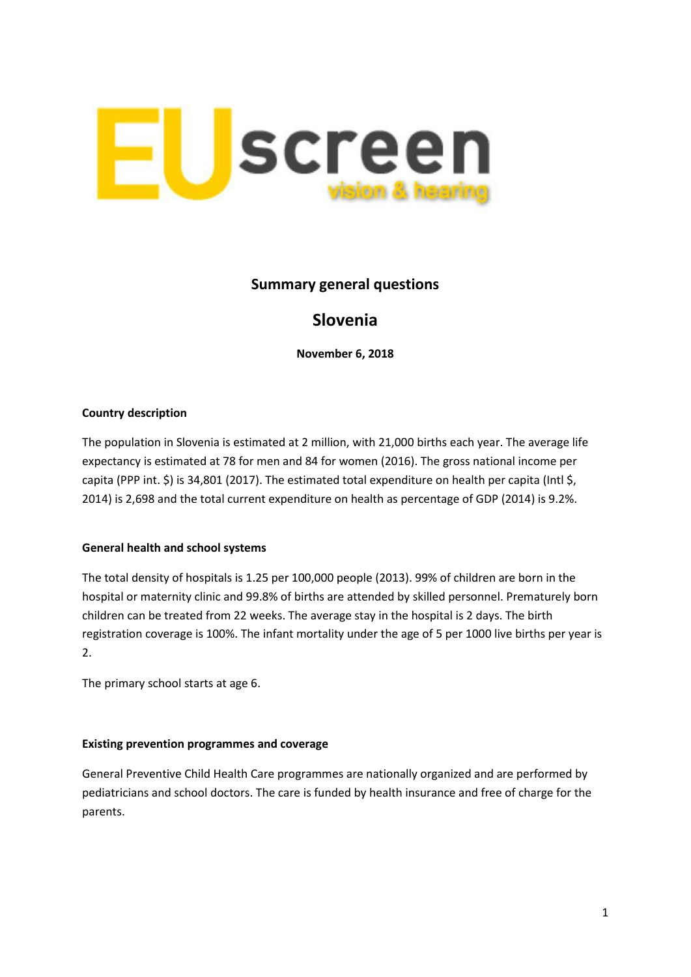

## **Summary general questions**

# **Slovenia**

**November 6, 2018**

#### **Country description**

The population in Slovenia is estimated at 2 million, with 21,000 births each year. The average life expectancy is estimated at 78 for men and 84 for women (2016). The gross national income per capita (PPP int. \$) is 34,801 (2017). The estimated total expenditure on health per capita (Intl \$, 2014) is 2,698 and the total current expenditure on health as percentage of GDP (2014) is 9.2%.

## **General health and school systems**

The total density of hospitals is 1.25 per 100,000 people (2013). 99% of children are born in the hospital or maternity clinic and 99.8% of births are attended by skilled personnel. Prematurely born children can be treated from 22 weeks. The average stay in the hospital is 2 days. The birth registration coverage is 100%. The infant mortality under the age of 5 per 1000 live births per year is 2.

The primary school starts at age 6.

## **Existing prevention programmes and coverage**

General Preventive Child Health Care programmes are nationally organized and are performed by pediatricians and school doctors. The care is funded by health insurance and free of charge for the parents.